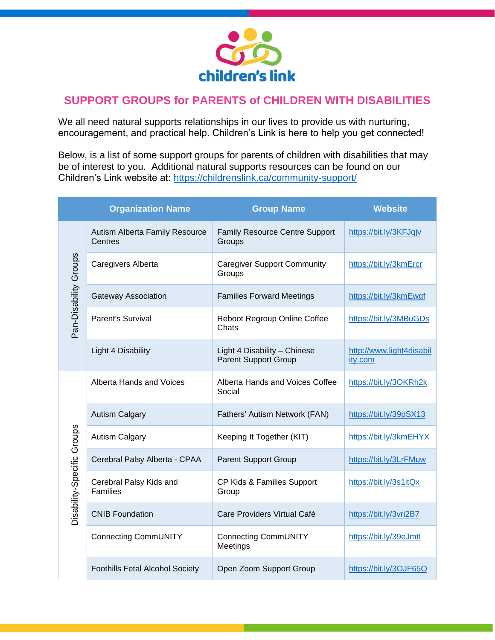

## **SUPPORT GROUPS for PARENTS of CHILDREN WITH DISABILITIES**

We all need natural supports relationships in our lives to provide us with nurturing, encouragement, and practical help. Children's Link is here to help you get connected!

Below, is a list of some support groups for parents of children with disabilities that may be of interest to you. Additional natural supports resources can be found on our Children's Link website at:<https://childrenslink.ca/community-support/>

|                            | <b>Organization Name</b>                   | <b>Group Name</b>                                           | <b>Website</b>                      |
|----------------------------|--------------------------------------------|-------------------------------------------------------------|-------------------------------------|
| Pan-Disability Groups      | Autism Alberta Family Resource<br>Centres  | <b>Family Resource Centre Support</b><br>Groups             | https://bit.ly/3KFJqjv              |
|                            | Caregivers Alberta                         | <b>Caregiver Support Community</b><br>Groups                | https://bit.ly/3kmErcr              |
|                            | <b>Gateway Association</b>                 | <b>Families Forward Meetings</b>                            | https://bit.ly/3kmEwgf              |
|                            | <b>Parent's Survival</b>                   | Reboot Regroup Online Coffee<br>Chats                       | https://bit.ly/3MBuGDs              |
|                            | Light 4 Disability                         | Light 4 Disability - Chinese<br><b>Parent Support Group</b> | http://www.light4disabil<br>ity.com |
| Disability-Specific Groups | Alberta Hands and Voices                   | Alberta Hands and Voices Coffee<br>Social                   | https://bit.ly/3OKRh2k              |
|                            | <b>Autism Calgary</b>                      | Fathers' Autism Network (FAN)                               | https://bit.ly/39pSX13              |
|                            | <b>Autism Calgary</b>                      | Keeping It Together (KIT)                                   | https://bit.ly/3kmEHYX              |
|                            | Cerebral Palsy Alberta - CPAA              | <b>Parent Support Group</b>                                 | https://bit.ly/3LrFMuw              |
|                            | Cerebral Palsy Kids and<br><b>Families</b> | CP Kids & Families Support<br>Group                         | https://bit.ly/3s1itQx              |
|                            | <b>CNIB Foundation</b>                     | Care Providers Virtual Café                                 | https://bit.ly/3vri2B7              |
|                            | <b>Connecting CommUNITY</b>                | <b>Connecting CommUNITY</b><br>Meetings                     | https://bit.ly/39eJmtl              |
|                            | <b>Foothills Fetal Alcohol Society</b>     | Open Zoom Support Group                                     | https://bit.ly/3OJF65O              |